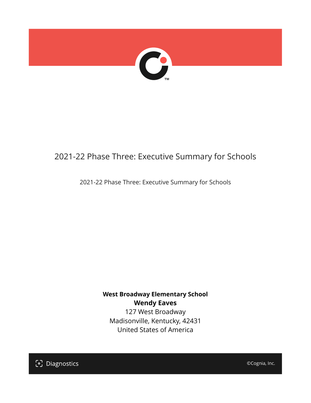

## 2021-22 Phase Three: Executive Summary for Schools

### 2021-22 Phase Three: Executive Summary for Schools

## **West Broadway Elementary School Wendy Eaves**

127 West Broadway Madisonville, Kentucky, 42431 United States of America



©Cognia, Inc.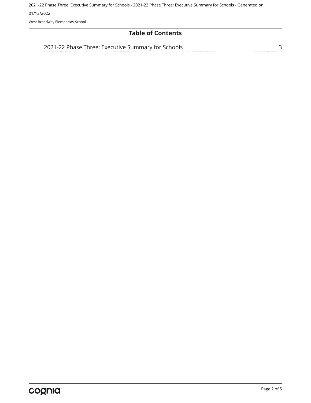2021-22 Phase Three: Executive Summary for Schools - 2021-22 Phase Three: Executive Summary for Schools - Generated on 01/13/2022

West Broadway Elementary School

## **Table of Contents**

[2021-22 Phase Three: Executive Summary for Schools](#page-2-0)

[3](#page-2-0)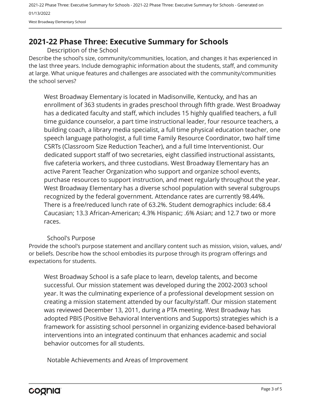2021-22 Phase Three: Executive Summary for Schools - 2021-22 Phase Three: Executive Summary for Schools - Generated on 01/13/2022 West Broadway Elementary School

## <span id="page-2-0"></span>**2021-22 Phase Three: Executive Summary for Schools**

Description of the School

Describe the school's size, community/communities, location, and changes it has experienced in the last three years. Include demographic information about the students, staff, and community at large. What unique features and challenges are associated with the community/communities the school serves?

West Broadway Elementary is located in Madisonville, Kentucky, and has an enrollment of 363 students in grades preschool through fifth grade. West Broadway has a dedicated faculty and staff, which includes 15 highly qualified teachers, a full time guidance counselor, a part time instructional leader, four resource teachers, a building coach, a library media specialist, a full time physical education teacher, one speech language pathologist, a full time Family Resource Coordinator, two half time CSRTs (Classroom Size Reduction Teacher), and a full time Interventionist. Our dedicated support staff of two secretaries, eight classified instructional assistants, five cafeteria workers, and three custodians. West Broadway Elementary has an active Parent Teacher Organization who support and organize school events, purchase resources to support instruction, and meet regularly throughout the year. West Broadway Elementary has a diverse school population with several subgroups recognized by the federal government. Attendance rates are currently 98.44%. There is a free/reduced lunch rate of 63.2%. Student demographics include: 68.4 Caucasian; 13.3 African-American; 4.3% Hispanic; .6% Asian; and 12.7 two or more races.

#### School's Purpose

Provide the school's purpose statement and ancillary content such as mission, vision, values, and/ or beliefs. Describe how the school embodies its purpose through its program offerings and expectations for students.

West Broadway School is a safe place to learn, develop talents, and become successful. Our mission statement was developed during the 2002-2003 school year. It was the culminating experience of a professional development session on creating a mission statement attended by our faculty/staff. Our mission statement was reviewed December 13, 2011, during a PTA meeting. West Broadway has adopted PBIS (Positive Behavioral Interventions and Supports) strategies which is a framework for assisting school personnel in organizing evidence-based behavioral interventions into an integrated continuum that enhances academic and social behavior outcomes for all students.

Notable Achievements and Areas of Improvement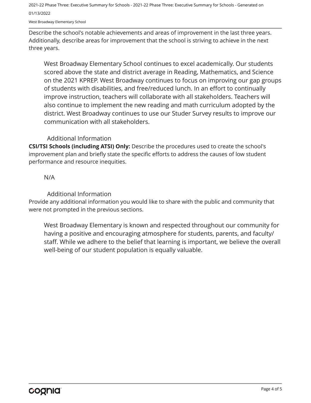2021-22 Phase Three: Executive Summary for Schools - 2021-22 Phase Three: Executive Summary for Schools - Generated on 01/13/2022

West Broadway Elementary School

Describe the school's notable achievements and areas of improvement in the last three years. Additionally, describe areas for improvement that the school is striving to achieve in the next three years.

West Broadway Elementary School continues to excel academically. Our students scored above the state and district average in Reading, Mathematics, and Science on the 2021 KPREP. West Broadway continues to focus on improving our gap groups of students with disabilities, and free/reduced lunch. In an effort to continually improve instruction, teachers will collaborate with all stakeholders. Teachers will also continue to implement the new reading and math curriculum adopted by the district. West Broadway continues to use our Studer Survey results to improve our communication with all stakeholders.

#### Additional Information

**CSI/TSI Schools (including ATSI) Only:** Describe the procedures used to create the school's improvement plan and briefly state the specific efforts to address the causes of low student performance and resource inequities.

N/A

Additional Information

Provide any additional information you would like to share with the public and community that were not prompted in the previous sections.

West Broadway Elementary is known and respected throughout our community for having a positive and encouraging atmosphere for students, parents, and faculty/ staff. While we adhere to the belief that learning is important, we believe the overall well-being of our student population is equally valuable.